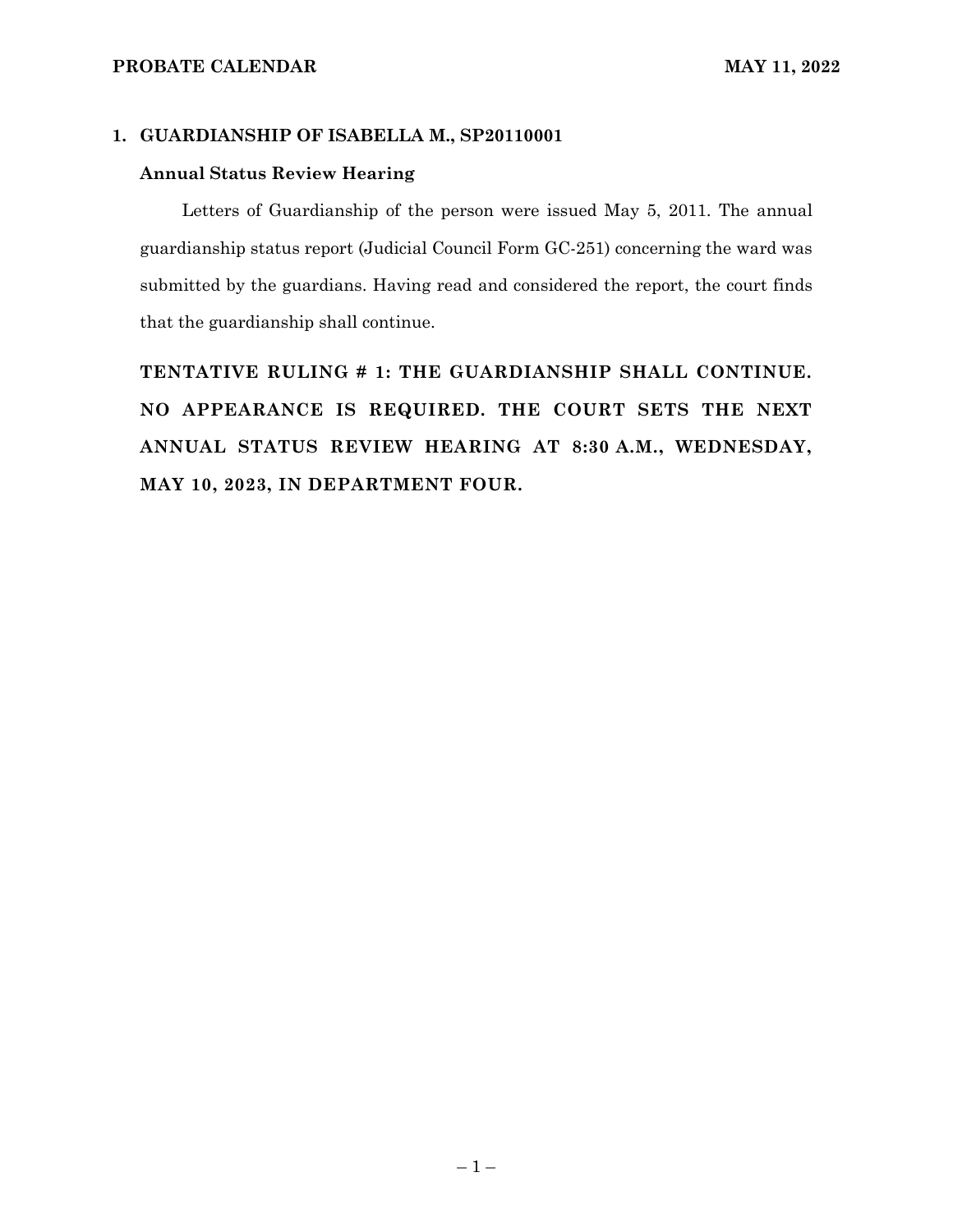### **1. GUARDIANSHIP OF ISABELLA M., SP20110001**

### **Annual Status Review Hearing**

Letters of Guardianship of the person were issued May 5, 2011. The annual guardianship status report (Judicial Council Form GC-251) concerning the ward was submitted by the guardians. Having read and considered the report, the court finds that the guardianship shall continue.

**TENTATIVE RULING # 1: THE GUARDIANSHIP SHALL CONTINUE. NO APPEARANCE IS REQUIRED. THE COURT SETS THE NEXT ANNUAL STATUS REVIEW HEARING AT 8:30 A.M., WEDNESDAY, MAY 10, 2023, IN DEPARTMENT FOUR.**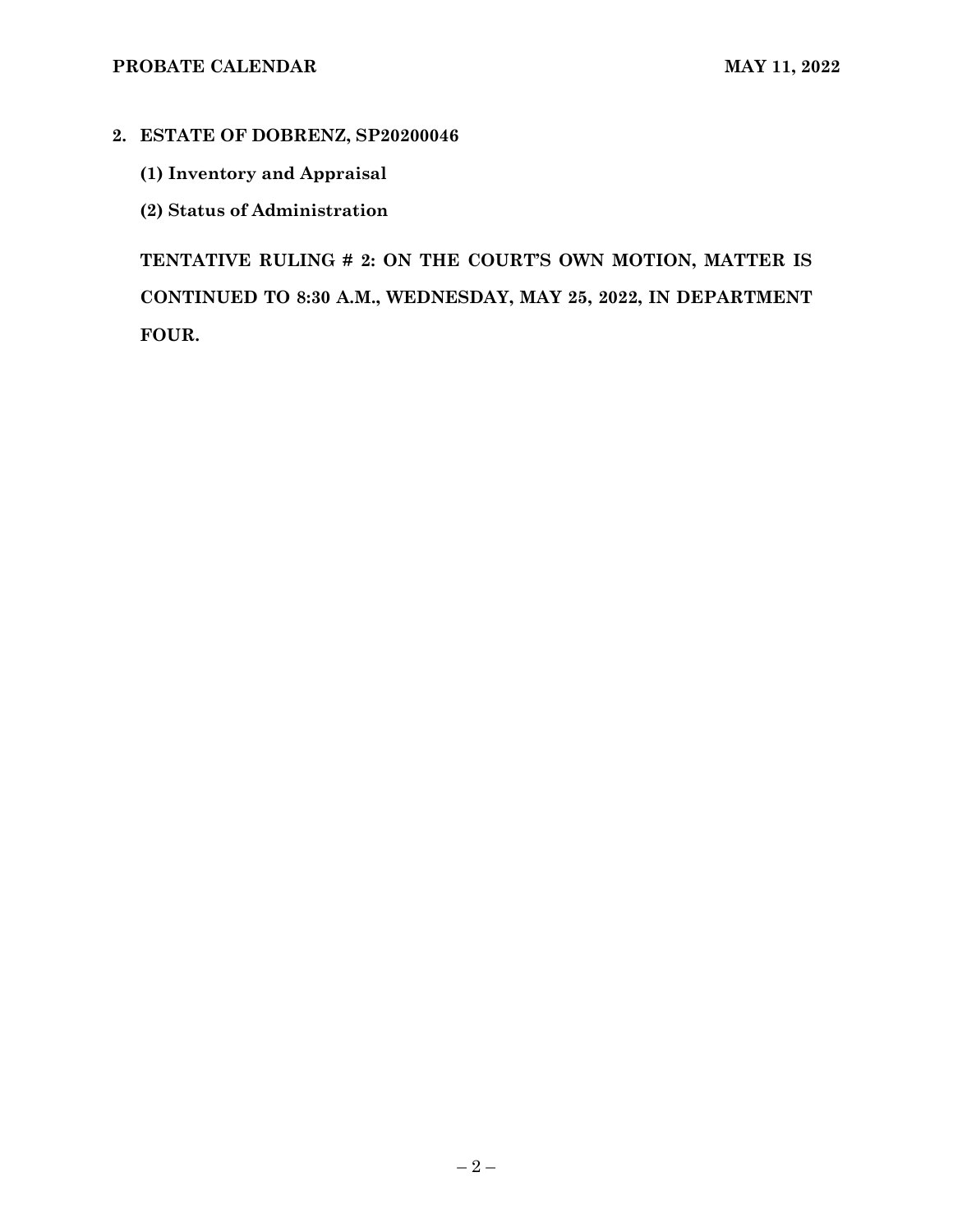## **2. ESTATE OF DOBRENZ, SP20200046**

- **(1) Inventory and Appraisal**
- **(2) Status of Administration**

**TENTATIVE RULING # 2: ON THE COURT'S OWN MOTION, MATTER IS CONTINUED TO 8:30 A.M., WEDNESDAY, MAY 25, 2022, IN DEPARTMENT FOUR.**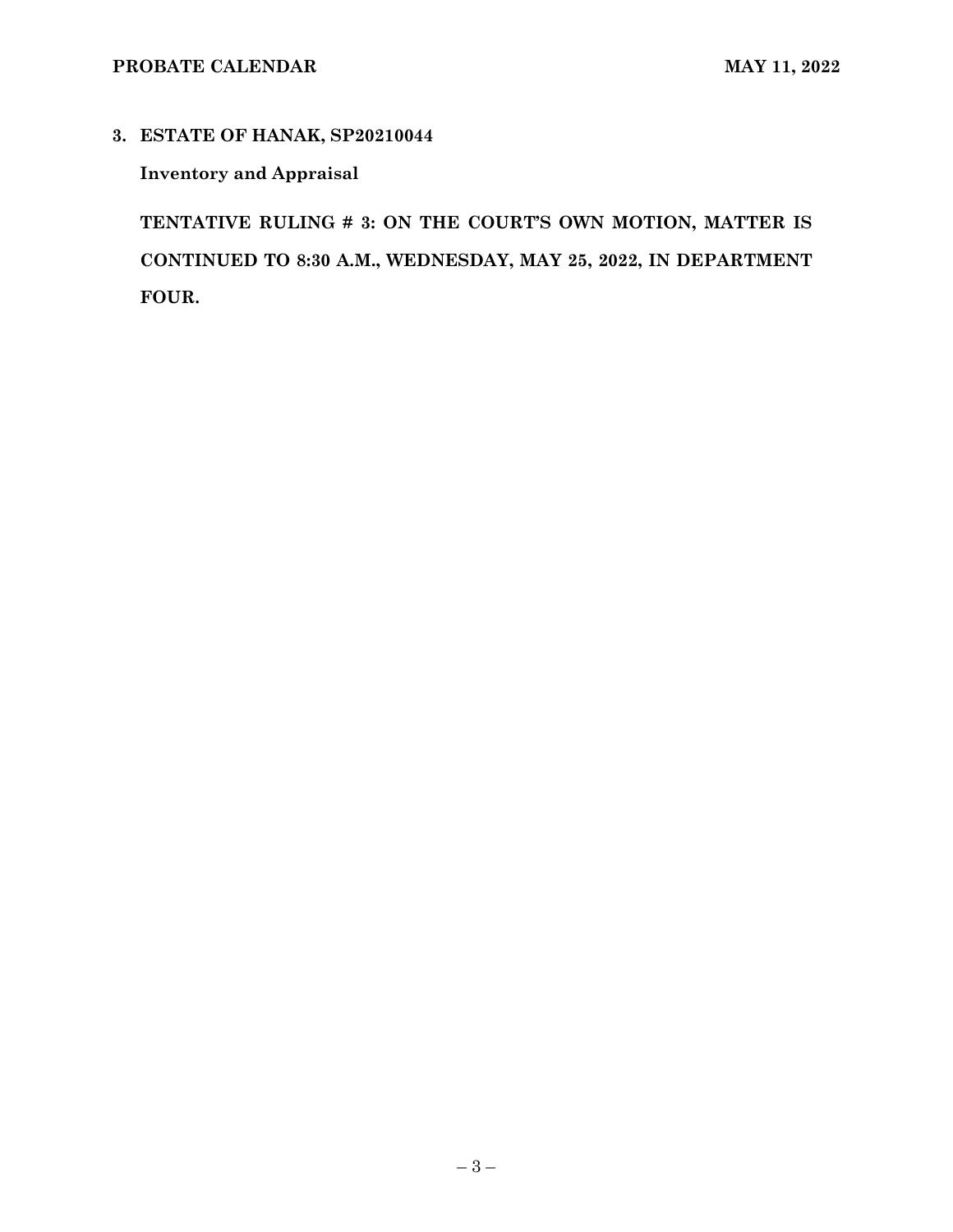# **3. ESTATE OF HANAK, SP20210044**

# **Inventory and Appraisal**

**TENTATIVE RULING # 3: ON THE COURT'S OWN MOTION, MATTER IS CONTINUED TO 8:30 A.M., WEDNESDAY, MAY 25, 2022, IN DEPARTMENT FOUR.**